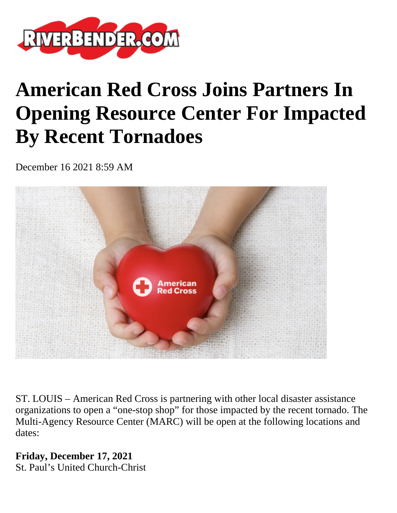

## **American Red Cross Joins Partners In Opening Resource Center For Impacted By Recent Tornadoes**

December 16 2021 8:59 AM



ST. LOUIS – American Red Cross is partnering with other local disaster assistance organizations to open a "one-stop shop" for those impacted by the recent tornado. The Multi-Agency Resource Center (MARC) will be open at the following locations and dates:

**Friday, December 17, 2021** St. Paul's United Church-Christ